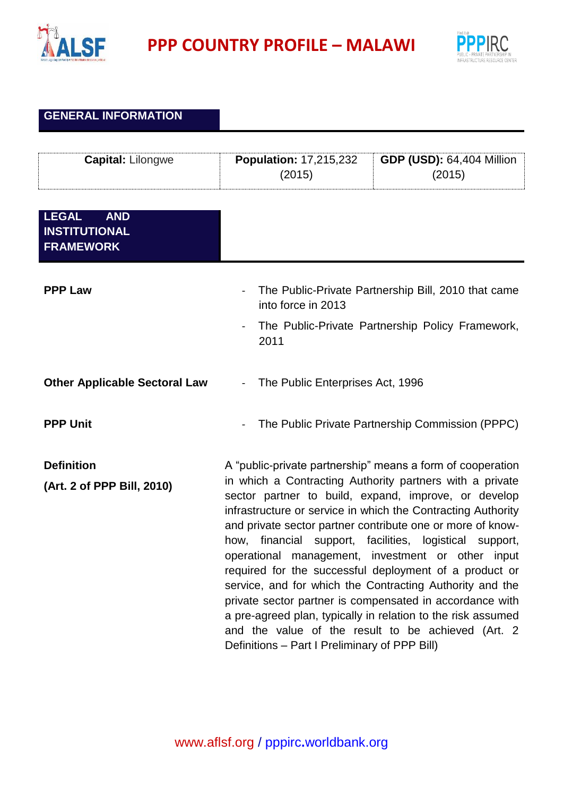

**PPP COUNTRY PROFILE – MALAWI**



## **GENERAL INFORMATION**

| <b>Capital: Lilongwe</b>                                               | <b>Population: 17,215,232</b><br>(2015)                                                                                                                 | <b>GDP (USD): 64,404 Million</b><br>(2015)                                                                                                                                                                                                                                                                                                                                                                                                                                                                                                                                                                                                                                                                                            |
|------------------------------------------------------------------------|---------------------------------------------------------------------------------------------------------------------------------------------------------|---------------------------------------------------------------------------------------------------------------------------------------------------------------------------------------------------------------------------------------------------------------------------------------------------------------------------------------------------------------------------------------------------------------------------------------------------------------------------------------------------------------------------------------------------------------------------------------------------------------------------------------------------------------------------------------------------------------------------------------|
| <b>LEGAL</b><br><b>AND</b><br><b>INSTITUTIONAL</b><br><b>FRAMEWORK</b> |                                                                                                                                                         |                                                                                                                                                                                                                                                                                                                                                                                                                                                                                                                                                                                                                                                                                                                                       |
| <b>PPP Law</b>                                                         | The Public-Private Partnership Bill, 2010 that came<br>into force in 2013<br>The Public-Private Partnership Policy Framework,<br>$\blacksquare$<br>2011 |                                                                                                                                                                                                                                                                                                                                                                                                                                                                                                                                                                                                                                                                                                                                       |
| <b>Other Applicable Sectoral Law</b>                                   | The Public Enterprises Act, 1996<br>÷,                                                                                                                  |                                                                                                                                                                                                                                                                                                                                                                                                                                                                                                                                                                                                                                                                                                                                       |
| <b>PPP Unit</b>                                                        |                                                                                                                                                         | The Public Private Partnership Commission (PPPC)                                                                                                                                                                                                                                                                                                                                                                                                                                                                                                                                                                                                                                                                                      |
| <b>Definition</b><br>(Art. 2 of PPP Bill, 2010)                        | Definitions - Part I Preliminary of PPP Bill)                                                                                                           | A "public-private partnership" means a form of cooperation<br>in which a Contracting Authority partners with a private<br>sector partner to build, expand, improve, or develop<br>infrastructure or service in which the Contracting Authority<br>and private sector partner contribute one or more of know-<br>how, financial support, facilities, logistical support,<br>operational management, investment or other input<br>required for the successful deployment of a product or<br>service, and for which the Contracting Authority and the<br>private sector partner is compensated in accordance with<br>a pre-agreed plan, typically in relation to the risk assumed<br>and the value of the result to be achieved (Art. 2) |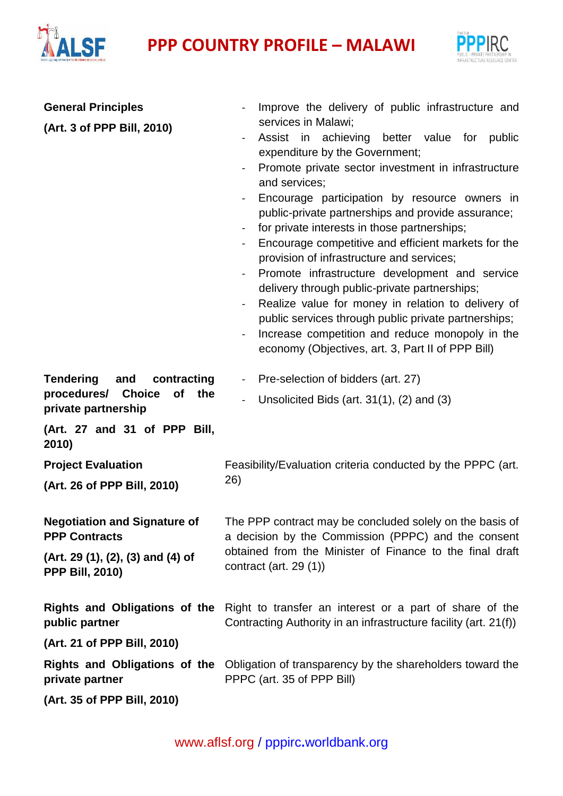## **PPP** COUNTRY PROFILE – MALAWI



| <b>General Principles</b><br>(Art. 3 of PPP Bill, 2010)                                                    | Improve the delivery of public infrastructure and<br>services in Malawi;<br>Assist in achieving better value for public<br>expenditure by the Government;<br>Promote private sector investment in infrastructure<br>$\blacksquare$                                                                                                                                                                                                                                                                                                                                                                                  |  |
|------------------------------------------------------------------------------------------------------------|---------------------------------------------------------------------------------------------------------------------------------------------------------------------------------------------------------------------------------------------------------------------------------------------------------------------------------------------------------------------------------------------------------------------------------------------------------------------------------------------------------------------------------------------------------------------------------------------------------------------|--|
|                                                                                                            | and services;<br>Encourage participation by resource owners in<br>public-private partnerships and provide assurance;<br>for private interests in those partnerships;<br>Encourage competitive and efficient markets for the<br>provision of infrastructure and services;<br>Promote infrastructure development and service<br>delivery through public-private partnerships;<br>Realize value for money in relation to delivery of<br>$\blacksquare$<br>public services through public private partnerships;<br>Increase competition and reduce monopoly in the<br>economy (Objectives, art. 3, Part II of PPP Bill) |  |
| <b>Tendering</b><br>and<br>contracting<br>procedures/<br><b>Choice</b><br>of<br>the<br>private partnership | Pre-selection of bidders (art. 27)<br>Unsolicited Bids (art. $31(1)$ , (2) and (3)                                                                                                                                                                                                                                                                                                                                                                                                                                                                                                                                  |  |
| (Art. 27 and 31 of PPP Bill,<br>2010)                                                                      |                                                                                                                                                                                                                                                                                                                                                                                                                                                                                                                                                                                                                     |  |
| <b>Project Evaluation</b>                                                                                  | Feasibility/Evaluation criteria conducted by the PPPC (art.<br>26)                                                                                                                                                                                                                                                                                                                                                                                                                                                                                                                                                  |  |
| (Art. 26 of PPP Bill, 2010)                                                                                |                                                                                                                                                                                                                                                                                                                                                                                                                                                                                                                                                                                                                     |  |
| <b>Negotiation and Signature of</b><br><b>PPP Contracts</b>                                                | The PPP contract may be concluded solely on the basis of<br>a decision by the Commission (PPPC) and the consent<br>obtained from the Minister of Finance to the final draft<br>contract (art. $29(1)$ )                                                                                                                                                                                                                                                                                                                                                                                                             |  |
| (Art. 29 (1), (2), (3) and (4) of<br><b>PPP Bill, 2010)</b>                                                |                                                                                                                                                                                                                                                                                                                                                                                                                                                                                                                                                                                                                     |  |
| <b>Rights and Obligations of the</b><br>public partner                                                     | Right to transfer an interest or a part of share of the<br>Contracting Authority in an infrastructure facility (art. 21(f))                                                                                                                                                                                                                                                                                                                                                                                                                                                                                         |  |
| (Art. 21 of PPP Bill, 2010)                                                                                |                                                                                                                                                                                                                                                                                                                                                                                                                                                                                                                                                                                                                     |  |
| private partner                                                                                            | <b>Rights and Obligations of the Obligation of transparency by the shareholders toward the</b><br>PPPC (art. 35 of PPP Bill)                                                                                                                                                                                                                                                                                                                                                                                                                                                                                        |  |
| (Art. 35 of PPP Bill, 2010)                                                                                |                                                                                                                                                                                                                                                                                                                                                                                                                                                                                                                                                                                                                     |  |